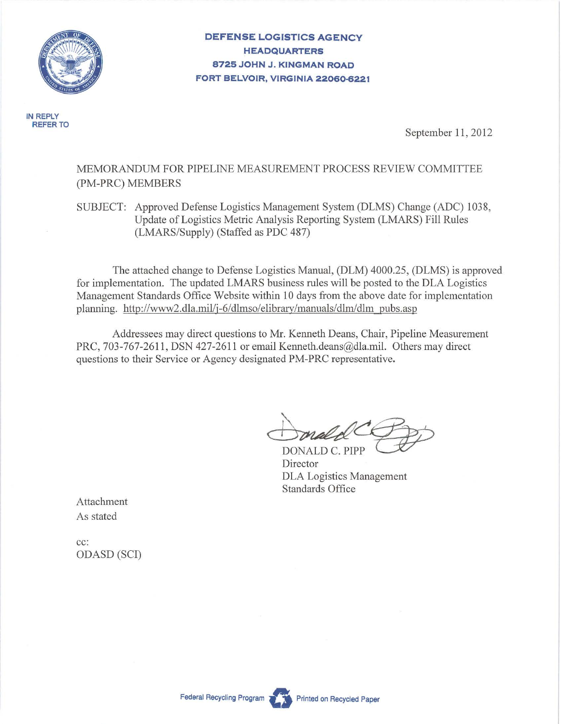

**DEFENSE LOGISTICS AGENCY HEADQUARTERS 8725 JOHN J. KINGMAN ROAD FORT BELVOIR, VIRGINIA 22060-6221** 

**IN REPLY REFER TO** 

September 11, 2012

### MEMORANDUM FOR PIPELINE MEASUREMENT PROCESS REVIEW COMMITTEE (PM-PRC) MEMBERS

SUBJECT: Approved Defense Logistics Management System (DLMS) Change (ADC) 1038, Update of Logistics Metric Analysis Reporting System (LMARS) Fill Rules (LMARS/Supply) (Staffed as PDC 487)

The attached change to Defense Logistics Manual, (DLM) 4000.25, (DLMS) is approved for implementation. The updated LMARS business rules will be posted to the DLA Logistics Management Standards Office Website within 10 days from the above date for implementation planning. http://www2.dla.mil/j-6/dlmso/elibrary/manuals/dlrn/dlm pubs.asp

Addressees may direct questions to Mr. Kenneth Deans, Chair, Pipeline Measurement PRC, 703-767-2611, DSN 427-2611 or email Kenneth.deans@dla.mil. Others may direct questions to their Service or Agency designated PM-PRC representative.

Donald COD

DLA Logistics Management Standards Office

Attachment As stated

cc: ODASD (SCI)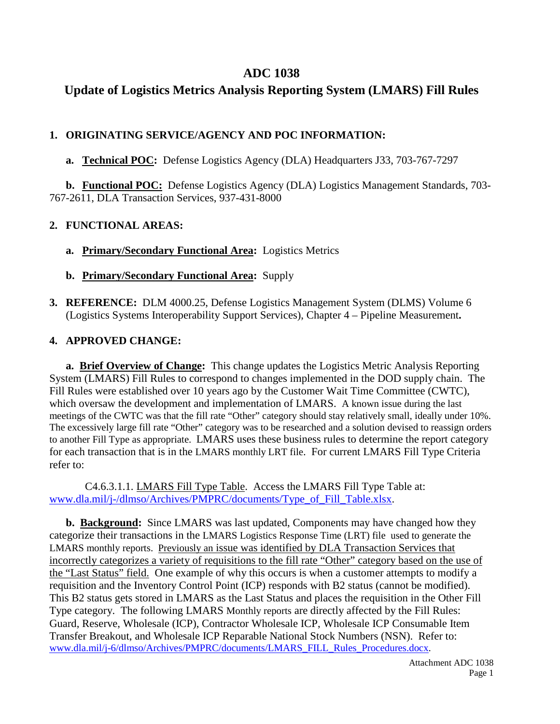## **ADC 1038**

# **Update of Logistics Metrics Analysis Reporting System (LMARS) Fill Rules**

## **1. ORIGINATING SERVICE/AGENCY AND POC INFORMATION:**

**a. Technical POC:** Defense Logistics Agency (DLA) Headquarters J33, 703-767-7297

**b. Functional POC:** Defense Logistics Agency (DLA) Logistics Management Standards, 703- 767-2611, DLA Transaction Services, 937-431-8000

## **2. FUNCTIONAL AREAS:**

**a. Primary/Secondary Functional Area:** Logistics Metrics

## **b. Primary/Secondary Functional Area:** Supply

**3. REFERENCE:** DLM 4000.25, Defense Logistics Management System (DLMS) Volume 6 (Logistics Systems Interoperability Support Services), Chapter 4 – Pipeline Measurement**.**

## **4. APPROVED CHANGE:**

 **a. Brief Overview of Change:** This change updates the Logistics Metric Analysis Reporting System (LMARS) Fill Rules to correspond to changes implemented in the DOD supply chain. The Fill Rules were established over 10 years ago by the Customer Wait Time Committee (CWTC), which oversaw the development and implementation of LMARS. A known issue during the last meetings of the CWTC was that the fill rate "Other" category should stay relatively small, ideally under 10%. The excessively large fill rate "Other" category was to be researched and a solution devised to reassign orders to another Fill Type as appropriate. LMARS uses these business rules to determine the report category for each transaction that is in the LMARS monthly LRT file. For current LMARS Fill Type Criteria refer to:

 C4.6.3.1.1. LMARS Fill Type Table. Access the LMARS Fill Type Table at: [www.dla.mil/j-/dlmso/Archives/PMPRC/documents/Type\\_of\\_Fill\\_Table.xlsx.](http://www.dla.mil/j-6/dlmso/Archives/PMPRC/documents/Type_of_Fill_Table.xlsx)

 **b. Background:** Since LMARS was last updated, Components may have changed how they categorize their transactions in the LMARS Logistics Response Time (LRT) file used to generate the LMARS monthly reports. Previously an issue was identified by DLA Transaction Services that incorrectly categorizes a variety of requisitions to the fill rate "Other" category based on the use of the "Last Status" field. One example of why this occurs is when a customer attempts to modify a requisition and the Inventory Control Point (ICP) responds with B2 status (cannot be modified). This B2 status gets stored in LMARS as the Last Status and places the requisition in the Other Fill Type category. The following LMARS Monthly reports are directly affected by the Fill Rules: Guard, Reserve, Wholesale (ICP), Contractor Wholesale ICP, Wholesale ICP Consumable Item Transfer Breakout, and Wholesale ICP Reparable National Stock Numbers (NSN). Refer to: [www.dla.mil/j-6/dlmso/Archives/PMPRC/documents/LMARS\\_FILL\\_Rules\\_Procedures.docx.](http://www.dla.mil/j-6/dlmso/Archives/PMPRC/documents/LMARS_FILL_Rules_Procedures.docx)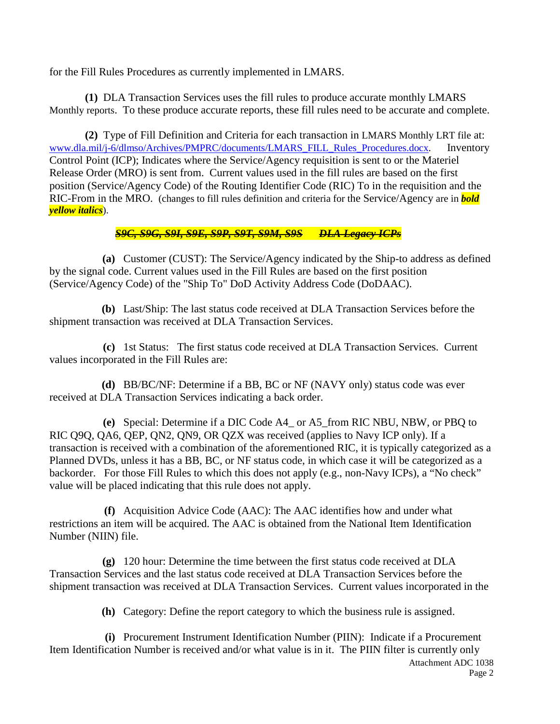for the Fill Rules Procedures as currently implemented in LMARS.

 **(1)** DLA Transaction Services uses the fill rules to produce accurate monthly LMARS Monthly reports. To these produce accurate reports, these fill rules need to be accurate and complete.

 **(2)** Type of Fill Definition and Criteria for each transaction in LMARS Monthly LRT file at: [www.dla.mil/j-6/dlmso/Archives/PMPRC/documents/LMARS\\_FILL\\_Rules\\_Procedures.docx.](http://www.dla.mil/j-6/dlmso/Archives/PMPRC/documents/LMARS_FILL_Rules_Procedures.docx) Inventory Control Point (ICP); Indicates where the Service/Agency requisition is sent to or the Materiel Release Order (MRO) is sent from. Current values used in the fill rules are based on the first position (Service/Agency Code) of the Routing Identifier Code (RIC) To in the requisition and the RIC-From in the MRO. (changes to fill rules definition and criteria for the Service/Agency are in *bold yellow italics*).

### *S9C, S9G, S9I, S9E, S9P, S9T, S9M, S9S DLA Legacy ICPs*

**(a)** Customer (CUST): The Service/Agency indicated by the Ship-to address as defined by the signal code. Current values used in the Fill Rules are based on the first position (Service/Agency Code) of the "Ship To" DoD Activity Address Code (DoDAAC).

**(b)** Last/Ship: The last status code received at DLA Transaction Services before the shipment transaction was received at DLA Transaction Services.

**(c)** 1st Status: The first status code received at DLA Transaction Services. Current values incorporated in the Fill Rules are:

**(d)** BB/BC/NF: Determine if a BB, BC or NF (NAVY only) status code was ever received at DLA Transaction Services indicating a back order.

**(e)** Special: Determine if a DIC Code A4\_ or A5\_from RIC NBU, NBW, or PBQ to RIC Q9Q, QA6, QEP, QN2, QN9, OR QZX was received (applies to Navy ICP only). If a transaction is received with a combination of the aforementioned RIC, it is typically categorized as a Planned DVDs, unless it has a BB, BC, or NF status code, in which case it will be categorized as a backorder. For those Fill Rules to which this does not apply (e.g., non-Navy ICPs), a "No check" value will be placed indicating that this rule does not apply.

**(f)** Acquisition Advice Code (AAC): The AAC identifies how and under what restrictions an item will be acquired. The AAC is obtained from the National Item Identification Number (NIIN) file.

**(g)** 120 hour: Determine the time between the first status code received at DLA Transaction Services and the last status code received at DLA Transaction Services before the shipment transaction was received at DLA Transaction Services. Current values incorporated in the

**(h)** Category: Define the report category to which the business rule is assigned.

Attachment ADC 1038 **(i)** Procurement Instrument Identification Number (PIIN): Indicate if a Procurement Item Identification Number is received and/or what value is in it. The PIIN filter is currently only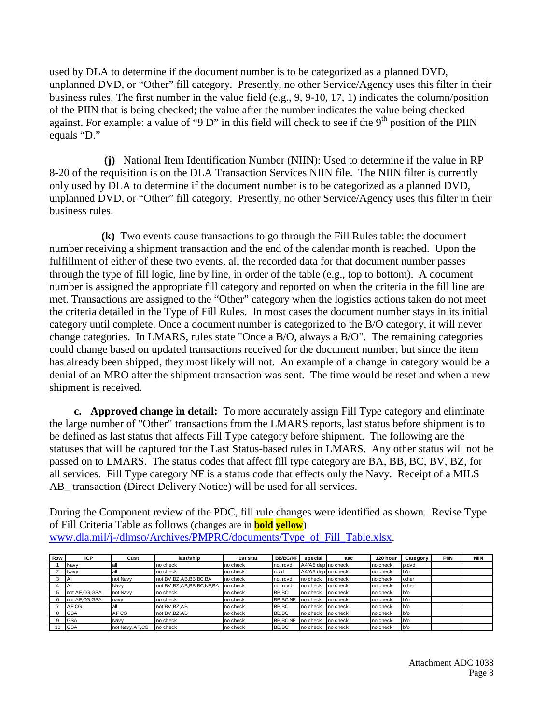used by DLA to determine if the document number is to be categorized as a planned DVD, unplanned DVD, or "Other" fill category. Presently, no other Service/Agency uses this filter in their business rules. The first number in the value field (e.g., 9, 9-10, 17, 1) indicates the column/position of the PIIN that is being checked; the value after the number indicates the value being checked against. For example: a value of "9 D" in this field will check to see if the  $9<sup>th</sup>$  position of the PIIN equals "D."

**(j)** National Item Identification Number (NIIN): Used to determine if the value in RP 8-20 of the requisition is on the DLA Transaction Services NIIN file. The NIIN filter is currently only used by DLA to determine if the document number is to be categorized as a planned DVD, unplanned DVD, or "Other" fill category. Presently, no other Service/Agency uses this filter in their business rules.

 **(k)** Two events cause transactions to go through the Fill Rules table: the document number receiving a shipment transaction and the end of the calendar month is reached. Upon the fulfillment of either of these two events, all the recorded data for that document number passes through the type of fill logic, line by line, in order of the table (e.g., top to bottom). A document number is assigned the appropriate fill category and reported on when the criteria in the fill line are met. Transactions are assigned to the "Other" category when the logistics actions taken do not meet the criteria detailed in the Type of Fill Rules. In most cases the document number stays in its initial category until complete. Once a document number is categorized to the B/O category, it will never change categories. In LMARS, rules state "Once a B/O, always a B/O". The remaining categories could change based on updated transactions received for the document number, but since the item has already been shipped, they most likely will not. An example of a change in category would be a denial of an MRO after the shipment transaction was sent. The time would be reset and when a new shipment is received.

 **c. Approved change in detail:** To more accurately assign Fill Type category and eliminate the large number of "Other" transactions from the LMARS reports, last status before shipment is to be defined as last status that affects Fill Type category before shipment. The following are the statuses that will be captured for the Last Status-based rules in LMARS. Any other status will not be passed on to LMARS. The status codes that affect fill type category are BA, BB, BC, BV, BZ, for all services. Fill Type category NF is a status code that effects only the Navy. Receipt of a MILS AB\_ transaction (Direct Delivery Notice) will be used for all services.

During the Component review of the PDC, fill rule changes were identified as shown. Revise Type of Fill Criteria Table as follows (changes are in **bold yellow**) [www.dla.mil/j-/dlmso/Archives/PMPRC/documents/Type\\_of\\_Fill\\_Table.xlsx.](http://www.dla.mil/j-6/dlmso/Archives/PMPRC/documents/Type_of_Fill_Table.xlsx)

| Row | <b>ICP</b>     | Cust             | last/ship                      | 1st stat  | <b>BB/BC/NF</b> | special            | aac      | 120 hour | Category | PIIN | <b>NIIN</b> |
|-----|----------------|------------------|--------------------------------|-----------|-----------------|--------------------|----------|----------|----------|------|-------------|
|     | Navv           |                  | no check                       | no check  | not rcvd        | A4/A5 dep no check |          | no check | lp dvd   |      |             |
|     | Navy           |                  | no check                       | no check  | rcvd            | A4/A5 dep no check |          | no check | $bb/$ o  |      |             |
|     | $\overline{A}$ | not Navy         | not BV, BZ, AB, BB, BC, BA     | Ino check | not rcvd        | no check           | no check | no check | other    |      |             |
|     | <b>A</b>       | Navv             | not BV, BZ, AB, BB, BC, NF, BA | no check  | not rcvd        | no check           | no check | no check | lother   |      |             |
|     | not AF.CG.GSA  | not Navy         | no check                       | no check  | BB.BC           | no check           | no check | no check | $b$ o    |      |             |
|     | not AF,CG,GSA  | navy             | no check                       | no check  | BB.BC.NF        | no check           | no check | no check | $b$ o    |      |             |
|     | AF.CG          |                  | not BV.BZ.AB                   | no check  | BB.BC           | no check           | no check | no check | b/o      |      |             |
|     | <b>GSA</b>     | AF <sub>CG</sub> | not BV, BZ, AB                 | no check  | BB,BC           | no check           | no check | no check | b/o      |      |             |
|     | <b>GSA</b>     | Navv             | no check                       | no check  | BB, BC, NF      | Ino check          | no check | no check | b/o      |      |             |
| 10  | <b>GSA</b>     | not Navy, AF, CG | no check                       | no check  | BB.BC           | no check           | no check | no check | $bb$ /o  |      |             |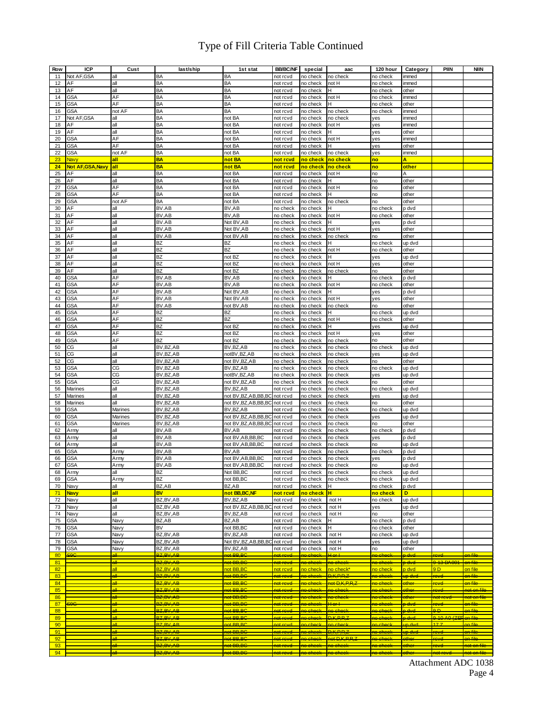# Type of Fill Criteria Table Continued

| Row | <b>ICP</b>               | Cust    | last/ship                | 1st stat               | <b>BB/BC/NF</b>       | special               | aac                 | 120 hour              | Category           | PIIN                | <b>NIIN</b>            |
|-----|--------------------------|---------|--------------------------|------------------------|-----------------------|-----------------------|---------------------|-----------------------|--------------------|---------------------|------------------------|
| 11  | Not AF, GSA              | all     | BA                       | BA                     | not rcvd              | no check              | no check            | no check              | immed              |                     |                        |
| 12  | AF                       | all     | BA                       | BA                     | not rcvd              | no check              | not H               | no check              | immed              |                     |                        |
| 13  | AF                       | all     | BA                       | BA                     | not rcvd              | no check              | н                   | no check              | other              |                     |                        |
| 14  | <b>GSA</b>               | AF      | BA                       | BA                     | not rcvd              | no check              | not H               | no check              | immed              |                     |                        |
| 15  | <b>GSA</b>               | AF      | BA                       | BA                     | not rcvd              | no check              | н                   | no check              | other              |                     |                        |
| 16  | <b>GSA</b>               | not AF  | BA                       | BA                     | not rcvd              | no check              | no check            | no check              | immed              |                     |                        |
| 17  | Not AF, GSA              | all     | BA                       | not BA                 | not rcvd              | no check              | no check            | yes                   | immed              |                     |                        |
| 18  | AF                       | all     | BA                       | not BA                 | not rcvd              | no check              | not H               | yes                   | immed              |                     |                        |
| 19  | AF                       | all     | BA                       | not BA                 | not rcvd              | no check              | н                   | yes                   | other              |                     |                        |
| 20  | <b>GSA</b>               | AF      | BA                       |                        |                       |                       | not H               |                       | immed              |                     |                        |
|     |                          | AF      | BA                       | not BA                 | not rcvd              | no check              | H                   | yes                   |                    |                     |                        |
| 21  | <b>GSA</b>               |         |                          | not BA                 | not rcvd              | no check              |                     | yes                   | other              |                     |                        |
| 22  | <b>GSA</b>               | not AF  | BA                       | not BA                 | not rcvd              | no check              | no check            | yes                   | immed              |                     |                        |
| 23  | Navy                     | all     | <b>BA</b>                | not BA                 | not rcvd              | <mark>no check</mark> | no check            | no                    | A                  |                     |                        |
| 24  | <b>Not AF, GSA, Navy</b> | all     | <b>BA</b>                | not BA                 | not rcvd              | no check              | no check            | no                    | other              |                     |                        |
| 25  | AF                       | all     | BA                       | not BA                 | not rcvd              | no check              | not H               | no                    | Α                  |                     |                        |
| 26  | AF                       | all     | BA                       | not BA                 | not rcvd              | no check              | н                   | no                    | other              |                     |                        |
| 27  | <b>GSA</b>               | AF      | BA                       | not BA                 | not rcvd              | no check              | not H               | no                    | other              |                     |                        |
| 28  | <b>GSA</b>               | AF      | BA                       | not BA                 | not rcvd              | no check              | н                   | no                    | other              |                     |                        |
| 29  | <b>GSA</b>               | not AF  | BA                       | not BA                 | not rcvd              | no check              | no check            | no                    | other              |                     |                        |
| 30  | AF                       | all     | BV.AB                    | BV,AB                  | no check              | no check              | н                   | no check              | p dvd              |                     |                        |
| 31  | AF                       | all     | BV,AB                    | BV,AB                  | no check              | no check              | not H               | no check              | other              |                     |                        |
| 32  | ΑF                       | all     | BV.AB                    | Not BV, AB             | no check              | no check              | н                   | yes                   | p dvd              |                     |                        |
| 33  | AF                       | all     | BV,AB                    | Not BV, AB             | no check              | no check              | not H               | yes                   | other              |                     |                        |
| 34  | AF                       | all     | BV.AB                    | not BV, AB             | no check              | no check              | no check            | no                    | other              |                     |                        |
| 35  | AF                       | all     | BZ                       | BZ                     | no check              | no check              | H                   | no check              | up dvd             |                     |                        |
| 36  | AF                       | all     | BZ                       | BZ                     | no check              | no check              | not H               | no check              | other              |                     |                        |
| 37  | AF                       | all     | BZ                       | not BZ                 | no check              | no check              | н                   | yes                   | up dvd             |                     |                        |
| 38  | AF                       | all     | BZ                       | not BZ                 | no check              | no check              | not H               | yes                   | other              |                     |                        |
| 39  | AF                       | all     | <b>BZ</b>                | not BZ                 | no check              | no check              | no check            | no                    | other              |                     |                        |
| 40  | <b>GSA</b>               | AF      | BV.AB                    | BV,AB                  | no check              | no check              | н                   | no check              | p dvd              |                     |                        |
| 41  | <b>GSA</b>               | AF      | BV,AB                    | BV,AB                  | no check              | no check              | not H               | no check              | other              |                     |                        |
| 42  | GSA                      | AF      | BV.AB                    | Not BV, AB             | no check              | no check              | н                   | yes                   | p dvd              |                     |                        |
| 43  | <b>GSA</b>               | AF      | BV,AB                    | Not BV, AB             | no check              | no check              | not H               | yes                   | other              |                     |                        |
| 44  | <b>GSA</b>               | AF      | BV.AB                    | not BV,AB              | no check              | no check              | no check            | no                    | other              |                     |                        |
| 45  | <b>GSA</b>               | AF      | BZ                       | BZ                     | no check              | no check              | н                   | no check              | up dvd             |                     |                        |
| 46  | <b>GSA</b>               | AF      | <b>BZ</b>                | <b>BZ</b>              | no check              | no check              | not H               | no check              | other              |                     |                        |
| 47  | <b>GSA</b>               | AF      | BZ                       | not BZ                 | no check              | no check              | H                   | yes                   | up dvd             |                     |                        |
| 48  | <b>GSA</b>               | AF      | <b>BZ</b>                | not BZ                 | no check              | no check              | not H               | yes                   | other              |                     |                        |
| 49  | <b>GSA</b>               | AF      | <b>BZ</b>                | not BZ                 | no check              | no check              | no check            | no                    | other              |                     |                        |
| 50  | CG                       | all     | $\overline{BV}$ , BZ, AB | BV, BZ, AB             | no check              | no check              | no check            | no check              |                    |                     |                        |
|     |                          |         |                          |                        |                       |                       |                     |                       | up dvd             |                     |                        |
| 51  | CG                       | all     | BV, BZ, AB               | notBV, BZ, AB          | no check              | no check              | no check            | yes                   | up dvd             |                     |                        |
| 52  | CG                       | all     | BV, BZ, AB               | not BV, BZ, AB         | no check              | no check              | no check            | no                    | other              |                     |                        |
| 53  | <b>GSA</b>               | CG      | BV, BZ, AB               | BV, BZ, AB             | no check              | no check              | no check            | no check              | up dvd             |                     |                        |
| 54  | <b>GSA</b>               | CG      | BV, BZ, AB               | notBV, BZ, AB          | no check              | no check              | no check            | yes                   | up dvd             |                     |                        |
| 55  | <b>GSA</b>               | CG      | BV, BZ, AB               | not BV, BZ, AB         | no check              | no check              | no check            | no                    | other              |                     |                        |
| 56  | Marines                  | all     | BV, BZ, AB               | BV, BZ, AB             | not rcvd              | no check              | no check            | no check              | up dvd             |                     |                        |
| 57  | Marines                  | all     | BV, BZ, AB               | not BV, BZ, AB, BB, BC | not rcvd              | no check              | no check            | yes                   | up dvd             |                     |                        |
| 58  | Marines                  | all     | BV, BZ, AB               | not BV, BZ, AB, BB, BC | not rcvd              | no check              | no check            | no                    | other              |                     |                        |
| 59  | <b>GSA</b>               | Marines | BV, BZ, AB               | BV, BZ, AB             | not rcvd              | no check              | no check            | no check              | up dvd             |                     |                        |
| 60  | <b>GSA</b>               | Marines | BV, BZ, AB               | not BV, BZ, AB, BB, BC | not rcvd              | no check              | no check            | yes                   | up dvd             |                     |                        |
| 61  | <b>GSA</b>               | Marines | BV, BZ, AB               | not BV, BZ, AB, BB, BC | not rcvd              | no check              | no check            | no                    | other              |                     |                        |
| 62  | Army                     | all     | BV,AB                    | BV,AB                  | not rcvd              | no check              | no check            | no check              | p dvd              |                     |                        |
| 63  | Army                     | all     | BV,AB                    | not BV, AB, BB, BC     | not rcvd              | no check              | no check            | yes                   | p dvd              |                     |                        |
| 64  | Army                     | all     | BV,AB                    | not BV, AB, BB, BC     | not rcvd              | no check              | no check            | no                    | up dvd             |                     |                        |
| 65  | <b>GSA</b>               | Army    | BV,AB                    | BV,AB                  | not rcvd              | no check              | no check            | no check              | p dvd              |                     |                        |
| 66  | <b>GSA</b>               | Army    | BV,AB                    | not BV, AB, BB, BC     | not rcvd              | no check              | no check            | yes                   | p dvd              |                     |                        |
| 67  | <b>GSA</b>               | Army    | BV,AB                    | not BV, AB, BB, BC     | not rcvd              | no check              | no check            | no                    | up dvd             |                     |                        |
| 68  | Army                     | all     | BZ                       | Not BB, BC             | not rcvd              | no check              | no check            | no check              | up dvd             |                     |                        |
| 69  | <b>GSA</b>               | Army    | BZ                       | not BB, BC             | not rcvd              | no check              | no check            | no check              | up dvd             |                     |                        |
| 70  | Navy                     | all     | BZ,AB                    | BZ,AB                  | not rcvd              | no check              | H                   | no check              | p dvd              |                     |                        |
| 71  | <b>Navy</b>              | all     | <b>BV</b>                | not BB,BC,NF           | not rcvd              | no check              | H                   | no check              | D                  |                     |                        |
| 72  | Navy                     | all     | BZ, BV, AB               | BV, BZ, AB             | not rcvd              | no check              | not H               | no check              | up dvd             |                     |                        |
| 73  | Navy                     | all     | BZ,BV,AB                 | not BV, BZ, AB, BB, BC | not rcvd              | no check              | not H               | yes                   | up dvd             |                     |                        |
| 74  | Navy                     | all     | BZ,BV,AB                 | BV, BZ, AB             | not rcvd              | no check              | not H               | no                    | other              |                     |                        |
| 75  | <b>GSA</b>               | Navy    | BZ,AB                    | BZ,AB                  | not rcvd              | no check              | н                   | no check              | p dvd              |                     |                        |
| 76  | <b>GSA</b>               | Navy    | BV                       | not BB.BC              | not rcvd              | no check              | H.                  | no check              | other              |                     |                        |
| 77  | <b>GSA</b>               | Navy    | BZ,BV,AB                 | BV.BZ.AB               | not rcvd              | no check              | not H               | no check              | up dvd             |                     |                        |
| 78  | <b>GSA</b>               | Navy    | BZ.BV.AB                 | Not BV.BZ.AB.BB.BC     | not rcvd              | no check              | not H               | yes                   | up dvd             |                     |                        |
| 79  | <b>GSA</b>               | Navy    | BZ,BV,AB                 | BV, BZ, AB             | not rcvd              | no check              | not H               | no                    | other              |                     |                        |
| 80  | 896                      |         | <b>BZ.BV.AB</b>          | net BB.BC              | <del>iet reve</del> l | <del>ho check</del>   | $H$ or $H$          | <del>ne check</del>   | <del>a dvd</del>   | evd                 | <del>on fik</del>      |
| 81  |                          |         | <b>32.BV.AB</b>          | not BB,BC              | <del>ot rovd</del>    | <del>ho check</del>   | <del>no check</del> | <del>no check</del>   | <del>a dvd</del>   | 3-13-DA001          | <del>on filc</del>     |
| 82  |                          |         | BZ.BV.AB                 | not BB.BC              | not rovd              | <mark>no check</mark> | no check            | <mark>no check</mark> | b dvd              | 9D                  | on file                |
| 83  |                          | ᆊ       | <del>BZ,BV,AB</del>      | <del>not BB,BC</del>   | <del>not reve</del>   | no check              | <b>D.K.P.R.2</b>    | <del>no check</del>   | <del>up dvc</del>  | raval               | <del>on file</del>     |
| 84  |                          | A₩      | <b>BZ.BV.AB</b>          | not BB,BC              | <del>not rovd</del>   | <del>no check</del>   | not D.K.P.R.Z       | <del>no check</del>   | other              | rovd                | on file                |
| 85  |                          | الم     | <b>BZ.BV.AB</b>          | not BB,BC              | not rove              | an ahnak              | <del>no check</del> | <del>no check</del>   | athar              | اعتما               | <del>not on file</del> |
| 86  |                          |         | <b>BZ.BV.AB</b>          | <del>tot BB.BC</del>   | <del>iot revi</del>   |                       | <del>wa check</del> | no check              | othe               | not reve            | <del>not on fil</del>  |
| 87  |                          | ᆊ       | <del>BZ.BV.AB</del>      | <del>not BB.BC</del>   | <del>wat rewe</del>   |                       | <del>Horl</del>     |                       | <del>, dvd</del>   | ew                  | <del>on fi</del> l     |
| 88  |                          |         | <b>BZ.BV.AB</b>          | not BB.BC              | <del>iet reve</del> l | <del>ìo check</del>   | <del>ho check</del> | <del>no check</del>   | <del>a dvd</del>   | <del>9 D</del>      | <del>on filc</del>     |
| 89  |                          | 5II     | <b>RZ RV AR</b>          | ant BB BC              | ant royd              | no check              | <b>DKPR7</b>        | ao check              | n dvd              | 0.10 AO (ZE         | on file                |
| 90  |                          |         | <b>BZ.BV.AB</b>          | ot BB.BC               | <b>ot revel</b>       | <del>ìo check</del>   | <del>ìo check</del> | <del>ie check</del>   | <del>up dv d</del> | 17.7                | an file                |
| 91  |                          | sШ      | BZ.BV.AB                 | <del>tot BB.BC</del>   | <del>hot rove</del>   | <del>ìo check</del>   | <b>D.K.P.R.Z</b>    | <del>no check</del>   | <del>up dvd</del>  | <del>'ovd</del>     | <del>on file</del>     |
| 92  |                          | ۵II     | BZ.BV.AB                 | net BB.BC              | <del>not rovd</del>   | <del>ho check</del>   | net D.K.P.R.2       | <del>no check</del>   | ether              | revel               | <del>on file</del>     |
| 93  |                          | n#      | BZ.BV.AB                 | ot BB,BG               | <del>10t revd</del>   | <del>ìo checl</del>   | <del>ho checl</del> | <del>no check</del>   | othe               | evd                 | <del>hot on fik</del>  |
| 94  |                          | ۵ll     | BZ.BV.AB                 | <b>not BB.BG</b>       | ant rewel             | <del>ho check</del>   | na ahaali           | <del>in ahaali</del>  | ethe               | <del>not rove</del> | <del>not on filc</del> |
|     |                          |         |                          |                        |                       |                       |                     |                       |                    |                     |                        |

Attachment ADC 1038 Page 4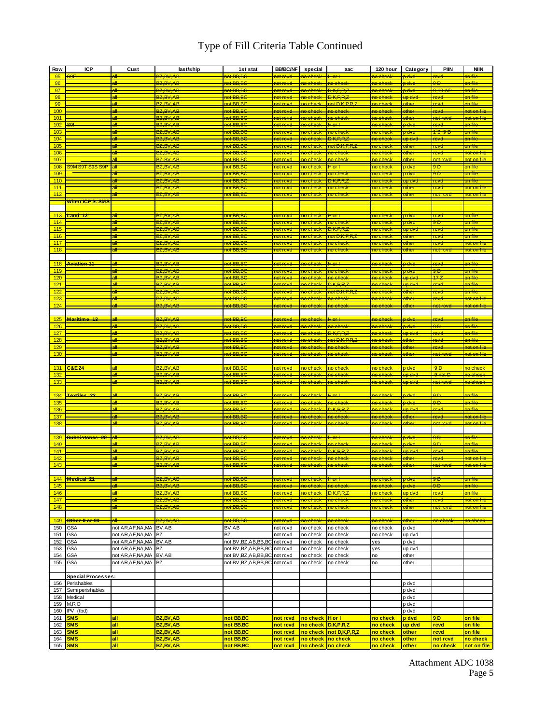# Type of Fill Criteria Table Continued

| Row        | <b>ICP</b>                 | Cust                                            | last/ship                          | 1st stat                        | <b>BB/BC/NF</b>                 | special                         | aac                       | 120 hour                                   | Category                   | <b>PIIN</b>                      | <b>NIIN</b>                   |
|------------|----------------------------|-------------------------------------------------|------------------------------------|---------------------------------|---------------------------------|---------------------------------|---------------------------|--------------------------------------------|----------------------------|----------------------------------|-------------------------------|
| 95         |                            | الد                                             | <b>BZ,BV,AB</b>                    | <del>10t BB,BC</del>            | <del>not rovd</del>             | <del>10 chook</del>             | <del>Hor I</del>          | <del>no chock</del>                        | <del>p dvd</del>           | <del>rovd</del>                  | <del>on fik</del>             |
| 96         |                            | all                                             | <b>BZ.BV.AB</b>                    | <del>ot BB.BC</del>             |                                 |                                 |                           |                                            |                            | 9Ð                               |                               |
| 97         |                            | <del>all</del>                                  | BZ.BV.AB                           | tot BB.BC                       | <del>not revd</del>             | <del>10 check</del>             | <del>DKPRZ</del>          | <del>ho check</del>                        | <del>o dvd</del>           | <del>9-10 AF</del>               | <del>on file</del>            |
| 98         |                            | ell.                                            | <b>BZ.BV.AB</b>                    | <b>et BB.BC</b>                 | <del>10t rovd</del>             | <del>ìo check</del>             | <b>D.K.P.R.Z</b>          | <del>ìo check</del>                        | <del>up dva</del>          | <del>'evd</del>                  | an fik                        |
| 99         |                            | аll                                             | <b>BZ BV AB</b>                    | ot BB.BC                        | aot revd                        | ao check                        | aot D.K.P.R.              | 10 check                                   | other                      | <b>cyd</b>                       | an file                       |
| 100        |                            | аll                                             | <b>BZ.BV.AB</b>                    | not BB.BC                       | aot revel                       | <mark>ne check</mark>           | <mark>ne check</mark>     | ne check                                   | other                      | <b>revel</b>                     | <mark>not on file</mark>      |
| 101        |                            | n#                                              | <b>BZ.BV.AB</b>                    | <b>et BB.BC</b>                 | <del>iet revd</del>             | <del>ìo check</del>             | <del>no check</del>       | <del>ìo check</del>                        | ether                      | <del>10t rov</del>               | <del>not on fik</del>         |
| 102        |                            | ᅰ                                               | <b>BZ.BV.AB</b>                    | ot BB.B                         | <del>iet revd</del>             | <del>io check</del>             | $+$ or $+$                | <del>ìo check</del>                        | <del>a dvd</del>           | eve                              | <del>m fik</del>              |
| 103        |                            | all                                             | BZ,BV,AB                           | rot BB,Bt                       | <u>iot rovd</u>                 | <del>io check</del>             | no chect                  | <del>io check</del>                        | rdvd                       | <del>is st</del>                 | <mark>on file</mark>          |
| 104        |                            | яH                                              | 3 <del>Z.BV.AB</del>               | ot BB.BC                        | <del>iot reve</del>             | <del>o check</del>              | $\leftarrow$              | <del>wa sheel</del>                        | <del>m dv</del>            |                                  | <del>w. file</del>            |
| 105        |                            | all                                             | <b>BZ-BV-AB</b>                    | <del>tot BB.BC</del>            | <del>hot revel</del>            | no check                        | <del>not D.K.P.R.</del> z | <del>ho check</del>                        | other                      | mm                               | <del>on file</del>            |
| 106        |                            | ۳Ħ                                              | <del>BZ,BV,AB</del>                | <del>ot BB,BC</del>             | <del>iol ruvd</del>             | <del>o chack</del>              | <del>io checl</del>       | <del>o checl</del>                         | athan                      | . vrl                            | <del>ioton fil</del>          |
| 107        |                            | all                                             | <b>BZ BV AB</b>                    | not BB BC                       | not revd                        | <mark>no check</mark>           | <mark>no check</mark>     | io check                                   | other                      | not rovd                         | not on file                   |
| 108        |                            |                                                 | 37.BV.AB                           | iot BB,BC                       | <b>TOILENVO</b>                 | 10 check                        | fo⊓                       |                                            | , dvc                      |                                  |                               |
| 109        |                            |                                                 | 3Z,BV,AB                           | rot BB,BC                       | <u>iot rcvd</u>                 | no check                        | <u>no checi</u>           | <del>io check</del>                        | <del>, dvc</del>           | Ð                                | on file                       |
| 110        |                            | all                                             | 37.BV.AB                           | <del>ut BB.BC</del>             |                                 |                                 | <del>) K.P.R.</del> z     |                                            | <del>ap dv</del>           | cvd                              |                               |
| 111        |                            | गी                                              | 3Z,BV,AB                           | <u> 10t BB,BC</u>               | <b>IOL LCAU</b>                 | <b>10 cineek</b>                | <u>no check</u>           | io checi                                   | miner                      | cvd                              | not on                        |
| 112        | <del>When ICP is SMS</del> |                                                 | BZ,BV,AB                           | <u>10t BB,BC</u>                | not reva                        | <u>no check</u>                 | no check                  | <u>no check</u>                            | other                      | not revo                         | <u>not on fi</u>              |
|            |                            |                                                 |                                    |                                 |                                 |                                 |                           |                                            |                            |                                  |                               |
| 113        | <del>.and 12</del>         |                                                 | <b>BZ.BV.AB</b>                    | tot BB.BC                       | <del>mi nevr</del>              |                                 |                           |                                            | rdvd                       | trvt                             |                               |
| 114        |                            | all                                             | BZ.BV.AB                           | not BB,BC                       | not revd                        | no check                        | no check                  | no check                                   | <del>o dvd</del>           | 9 D                              | on file                       |
| 115        |                            | att                                             | B <del>Z.BV.AB</del>               | <del>iot BB.BC</del>            | <b>TOILE CAVE</b>               | no reintacio                    | <del>.K.P.R.</del>        |                                            | ਸ਼ਰਾਰੀਵਾ                   | tavrd                            | <del>an file</del>            |
| 116        |                            | all                                             | <del>BZ,BV,AB</del>                | <del>iot BB,BC</del>            | <mark>not rovd</mark>           | <del>10 check</del>             | <del>not D,K,P,R,</del> ż | <mark>no check</mark>                      | <mark>other</mark>         | <u>cvd</u>                       | <del>on file</del>            |
| 117        |                            |                                                 | 3Z,BV,AB                           | <u>iot BB,BC</u>                | <b>TOIL COVO</b>                | <u>io temeler</u>               | io cinec                  |                                            | mne                        | evr                              | <b>TOT OF</b>                 |
| 118        |                            | all                                             | BZ,BV,AB                           | not BB,BC                       | <u>not revd</u>                 | <u>no check</u>                 | no check                  | <u>no check</u>                            | <mark>othe</mark>          | <mark>10t rovc</mark>            | <u>not on </u>                |
|            |                            |                                                 |                                    |                                 |                                 |                                 |                           |                                            |                            |                                  |                               |
| 118        | Aviation 11                | الم                                             | <b>BZ BV AB</b>                    | net BB.BC                       | not rovd                        | <del>no check</del>             | <del>H or L</del>         | no chook                                   | <del>n dvd</del>           | revel                            | on file                       |
| 119        |                            | яH                                              | <b>37 BV AB</b>                    | of BB.B                         | <del>with rewe</del>            | بالمصطلح بمبر                   | no checi                  | <del>an checi</del>                        | <del>, dvd</del>           | ٣Ē                               | <del>on fik</del>             |
| 120        |                            | ۵ll                                             | <b>27.BV.AB</b>                    | <del>et BB.BC</del>             | <del>101 rovd</del>             | <del>lo check</del>             | <del>ao check</del>       | <del>no check</del>                        | <del>in dve</del>          | 17.7                             | سننهج                         |
| 121        |                            | ۵ll                                             | <b>BZ.BV.AB</b>                    | ot BB.BC                        | <del>not rovd</del>             | <del>ìo check</del>             | <b>D.K.P.R.2</b>          | <del>no check</del>                        | <del>up dvd</del>          | revel                            | on file                       |
| 122        |                            | <del>all</del>                                  | <del>BZ.BV.AB</del>                | <del>10t BB,BC</del>            | <mark>not revd</mark>           | <del>10 cheel</del>             | <del>not D.K.P.R.z</del>  | <del>10 chec</del>                         | othe                       | <del>evd</del>                   | <del>on fik</del>             |
| 123        |                            | <del>all</del>                                  | <b>BZ-BV-AB</b>                    | <del>tot BB.BC</del>            | <del>not rovd</del>             | <del>10 check</del>             | <del>10 checl</del>       | <del>ho check</del>                        | other                      |                                  | <del>not on fik</del>         |
| 124        |                            | all                                             | <b>BZ.BV.AB</b>                    | <del>et BB.BC</del>             | <del>not rovd</del>             | <del>ho check</del>             | <del>no check</del>       | <del>no check</del>                        | other                      | <del>10t rovd</del>              | <del>not on fil</del>         |
|            |                            |                                                 |                                    |                                 |                                 |                                 |                           |                                            |                            |                                  |                               |
| 125        | <b>Maritime 13</b>         | <b>qil</b>                                      | <b>RZ RV AR</b>                    | <b>et BB.BC</b>                 | <del>hot rovd.</del>            | <del>ho check.</del>            | Hor H                     | <del>no chock</del>                        | <del>p dvd</del>           | revd                             | an file                       |
| 126        |                            | ell                                             | BZ.BV.AB                           | ot BB.BC                        | <del>10t revel</del>            | <del>ho check</del>             | <del>no check</del>       | <del>ho check</del>                        | <del>o dvd</del>           | $\overline{a}$                   | <del>on file</del>            |
| 127        |                            | ell.                                            | BZ.BV.AB                           | ot BB.BC                        | <del>iot reve</del> l           | <del>io check</del>             | <del>.K.P.R.</del>        | <del>io checl</del>                        | <del>io dve</del>          | evd                              | <del>on fik</del>             |
| 128        |                            | <del>all</del>                                  | <del>BZ.BV.AB</del>                | <del>not BB.BC</del>            | <del>10t revd</del>             | <del>ìo check</del>             | <del>not D.K.P.R.</del>   | <del>ho check</del>                        | <del>other</del>           | <del>evd</del>                   | <del>on fik</del>             |
| 129        |                            | all                                             | <b>RZ BV AB</b>                    | not BB.BC                       | aot revd                        | no check                        | no check                  | no check                                   | ather                      | <b>COMPLE</b>                    | not on file                   |
| 130        |                            | ell                                             | BZ.BV.AB                           | not BB,BC                       | <del>hot rove</del>             | <del>no check</del>             | <del>no check</del>       | <del>no check</del>                        | ether                      | <del>not rove</del>              | <del>not on fil</del>         |
|            |                            |                                                 |                                    |                                 |                                 |                                 |                           |                                            |                            |                                  |                               |
| 131        | C.8.E.24                   | اله                                             | <b>RZ RV AR</b>                    | $\alpha$ t RR RC                | ant royd                        | no check                        | no check                  | <u>io check</u>                            | n dvd                      | $\Omega$                         | na chack                      |
| 132        |                            | ۵ll                                             | <b>BZ.BV.AB</b>                    | <del>10t BB,BC</del>            | <del>not rovd</del>             | ne check                        | ne-check                  | <mark>ne-check</mark>                      | up dvd                     | $0$ not $D$                      | ne check                      |
| 133        |                            | A                                               | <b>BZ BV AB</b>                    | ot BB.BC                        | <del>not rovd</del>             | <del>ho check</del>             | <del>no check</del>       | <del>no check</del>                        | <del>up dvd</del>          | <del>not rove</del>              | <del>na ahaal</del>           |
|            |                            |                                                 |                                    |                                 |                                 |                                 |                           |                                            |                            |                                  |                               |
| 134        | <b>Textiles 23</b>         | All<br>all                                      | <b>BZ BV AB</b><br><b>R7 RV AR</b> | <b>ot BB.BC</b><br>not BB.BC    | <del>ant rovd</del><br>not revd | <del>ìo check</del><br>no check | <del>Hor L</del>          | <del>no check</del>                        | <del>a dvd.</del><br>p dvd | $\overline{a}$<br>Q <sub>D</sub> | <del>ən file</del><br>on file |
| 135        |                            | ъĤ                                              | <b>BZ BV AB</b>                    | ot BB.BC                        | ot royd                         |                                 | no check<br><b>DKPPZ</b>  | <mark>no check</mark>                      |                            |                                  | an fili                       |
| 136<br>137 |                            | n#                                              | BZ.BV.AB                           | <b>et BB.BC</b>                 | <del>hot rovd</del>             | check<br><del>no check</del>    | <del>no check</del>       | <del>le check</del><br><del>no check</del> | ip dve<br>ether            | <del>'evd</del>                  | <del>not on filc</del>        |
| 138        |                            | ۵ll                                             | <b>BZ.BV.AB</b>                    | <del>et BB.BC</del>             | <del>not rovd</del>             | <del>ho check</del>             | <del>no cheel</del>       | <del>no check</del>                        | ether                      | <del>10t rovd</del>              | <del>not on fil</del>         |
|            |                            |                                                 |                                    |                                 |                                 |                                 |                           |                                            |                            |                                  |                               |
| 139        | <del>Subsistance 22</del>  | all-                                            | <b>BZ.BV.AB</b>                    | <b>et BB.BG</b>                 | <del>10t rovd</del>             | <del>10 cheek</del>             | Hor+                      | <del>no check</del>                        | <del>dvd</del>             | $\overline{a}$                   | <del>yn file</del>            |
| 140        |                            | الد                                             | <b>BZ.BV.AB</b>                    | ant BB.BC                       | iot revd                        | no check                        | no check                  | <del>ìo check</del>                        | dvd                        | ۵D                               | an file                       |
| 141        |                            | ٩I                                              | <b>BZ.BV.AB</b>                    | not BB.BC                       | aot revd                        | no check                        | D.K.P.R.Z                 | no check                                   | up dvd                     | revd                             | an file                       |
| 142        |                            | الد                                             | <b>BZ BV AB</b>                    | <del>10t BB.B</del>             | <del>iet revd</del>             | <del>no check</del>             | <del>no checl</del>       | <del>ìo check</del>                        | ather                      | ave                              | net en fil                    |
| 143        |                            |                                                 | <b>BZ.BV.AB</b>                    | not BB,BC                       | <del>hot rovd</del>             | <del>no check</del>             | <del>no check</del>       | <del>no check</del>                        | ether                      | <del>not rovd</del>              | <del>not on file</del>        |
|            |                            |                                                 |                                    |                                 |                                 |                                 |                           |                                            |                            |                                  |                               |
| 144        | <b>Medical 21</b>          |                                                 | <del>BZ,BV,AB</del>                | ot BB,BC                        |                                 |                                 |                           |                                            | चेण्ट                      |                                  |                               |
| 145        |                            | яH                                              | <b>BZ.BV.AB</b>                    | <del>ot BB,BC</del>             | <del>iot reve</del>             | an checi                        | <del>no checl</del>       | <del>ìo checl</del>                        | <del>p dvd</del>           | эÐ                               | <del>on fik</del>             |
| 146        |                            | all                                             | 3 <del>7.BV.AB</del>               | <del>iot BB.BC</del>            | <del>with move</del>            |                                 |                           |                                            | <del>io dve</del>          | evd                              |                               |
| 147        |                            | all                                             | <del>BZ,BV,AB</del>                | <del>iot BB,BC</del>            | <del>iot revd</del>             | <del>io check</del>             | <del>no check</del>       | <del>io check</del>                        | <del>uthe</del> r          | <u>cvd</u>                       | <mark>not on file</mark>      |
| 148        |                            | all                                             | <del>BZ,BV,AB</del>                | <del>iot BB.BC</del>            | <u>iot rovd</u>                 |                                 | <del>lo check</del>       | <del>io checl</del>                        | <mark>other</mark>         | <mark>iot rev</mark>             | <del>iot on fik</del>         |
|            |                            |                                                 |                                    |                                 |                                 |                                 |                           |                                            |                            |                                  |                               |
| 149        | Other 6 or 99              | a₩                                              | BZ,BV,AB                           | not BB,BC                       | <del>not revd</del>             | <del>no check</del>             | <del>no check</del>       | <del>no check</del>                        | other                      | <del>no check</del>              | <del>no check</del>           |
| 150        | <b>GSA</b>                 | not AR, AF, NA, MA                              | BV,AB                              | BV,AB                           | not rcvd                        | no check                        | no check                  | no check                                   | p dvd                      |                                  |                               |
| 151        | <b>GSA</b>                 | not AR, AF, NA, MA BZ                           |                                    | <b>BZ</b>                       | not rcvd                        | no check                        | no check                  | no check                                   | up dvd                     |                                  |                               |
| 152        | <b>GSA</b>                 | not AR,AF,NA,MA                                 | BV,AB                              | not BV, BZ, AB, BB, BC          | not rcvd                        | no check                        | no check                  | yes                                        | p dvd                      |                                  |                               |
| 153        | <b>GSA</b>                 | not AR,AF,NA,MA                                 | <b>BZ</b>                          | not BV, BZ, AB, BB, BC not rcvd |                                 | no check                        | no check                  | yes                                        | up dvd                     |                                  |                               |
| 154        | <b>GSA</b>                 | not AR, AF, NA, MA BV, AB<br>not AR, AF, NA, MA |                                    | not BV, BZ, AB, BB, BC not rcvd |                                 | no check                        | no check                  | no                                         | other                      |                                  |                               |
| 155        | <b>GSA</b>                 |                                                 | <b>BZ</b>                          | not BV, BZ, AB, BB, BC not rcvd |                                 | no check                        | no check                  | no                                         | other                      |                                  |                               |
|            | <b>Special Processes:</b>  |                                                 |                                    |                                 |                                 |                                 |                           |                                            |                            |                                  |                               |
| 156        | Perishables                |                                                 |                                    |                                 |                                 |                                 |                           |                                            | p dvd                      |                                  |                               |
| 157        | Semi perishables           |                                                 |                                    |                                 |                                 |                                 |                           |                                            | p dvd                      |                                  |                               |
| 158        | Medical                    |                                                 |                                    |                                 |                                 |                                 |                           |                                            | p dvd                      |                                  |                               |
| 159        | M, R, O                    |                                                 |                                    |                                 |                                 |                                 |                           |                                            | p dvd                      |                                  |                               |
| 160        | IPV (tbd)                  |                                                 |                                    |                                 |                                 |                                 |                           |                                            | p dvd                      |                                  |                               |
| 161        | <b>SMS</b>                 | <u>all</u>                                      | BZ, BV, AB                         | not BB,BC                       | not rcvd                        | no check                        | H or I                    | <mark>no check</mark>                      | p dvd                      | 9D                               | on file                       |
| 162        | <b>SMS</b>                 | all                                             | BZ, BV, AB                         | not BB,BC                       | not rcvd                        | no check                        | D, K, P, R, Z             | <mark>no check</mark>                      | up dvd                     | rcvd                             | on file                       |
| 163        | <b>SMS</b>                 | all                                             | BZ, BV, AB                         | not BB,BC                       | not rcvd                        | no check                        | not D,K,P,R,Z             | no check                                   | other                      | rcvd                             | on file                       |
| 164        | <b>SMS</b>                 | all                                             | BZ, BV, AB                         | not BB,BC                       | not rcvd                        | no check                        | no check                  | <mark>no check</mark>                      | other                      | not rcvd                         | no check                      |
| 165        | <b>SMS</b>                 | all                                             | BZ, BV, AB                         | not BB,BC                       | not rcvd                        | no check                        | no check                  | <mark>no check</mark>                      | other                      | <mark>no check</mark>            | not on file                   |

Attachment ADC 1038 Page 5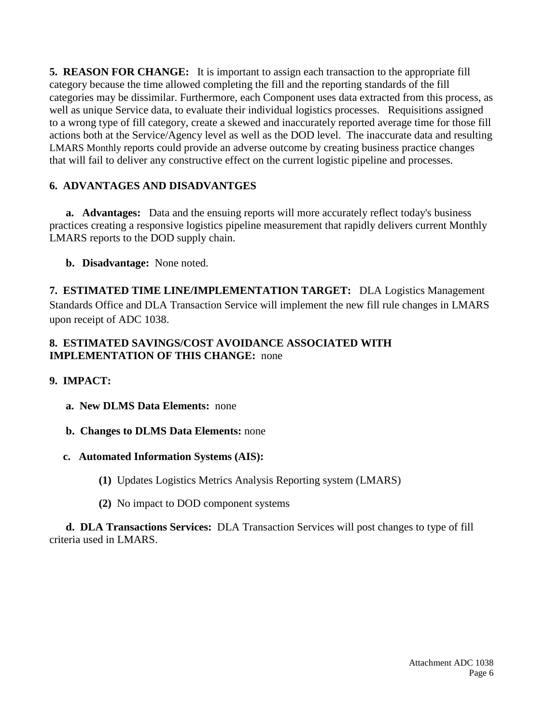**5. REASON FOR CHANGE:** It is important to assign each transaction to the appropriate fill category because the time allowed completing the fill and the reporting standards of the fill categories may be dissimilar. Furthermore, each Component uses data extracted from this process, as well as unique Service data, to evaluate their individual logistics processes. Requisitions assigned to a wrong type of fill category, create a skewed and inaccurately reported average time for those fill actions both at the Service/Agency level as well as the DOD level. The inaccurate data and resulting LMARS Monthly reports could provide an adverse outcome by creating business practice changes that will fail to deliver any constructive effect on the current logistic pipeline and processes.

## **6. ADVANTAGES AND DISADVANTGES**

**a. Advantages:** Data and the ensuing reports will more accurately reflect today's business practices creating a responsive logistics pipeline measurement that rapidly delivers current Monthly LMARS reports to the DOD supply chain.

**b. Disadvantage:** None noted.

**7. ESTIMATED TIME LINE/IMPLEMENTATION TARGET:** DLA Logistics Management Standards Office and DLA Transaction Service will implement the new fill rule changes in LMARS upon receipt of ADC 1038.

### **8. ESTIMATED SAVINGS/COST AVOIDANCE ASSOCIATED WITH IMPLEMENTATION OF THIS CHANGE:** none

### **9. IMPACT:**

- **a. New DLMS Data Elements:** none
- **b. Changes to DLMS Data Elements:** none

### **c. Automated Information Systems (AIS):**

- **(1)** Updates Logistics Metrics Analysis Reporting system (LMARS)
- **(2)** No impact to DOD component systems

 **d. DLA Transactions Services:** DLA Transaction Services will post changes to type of fill criteria used in LMARS.